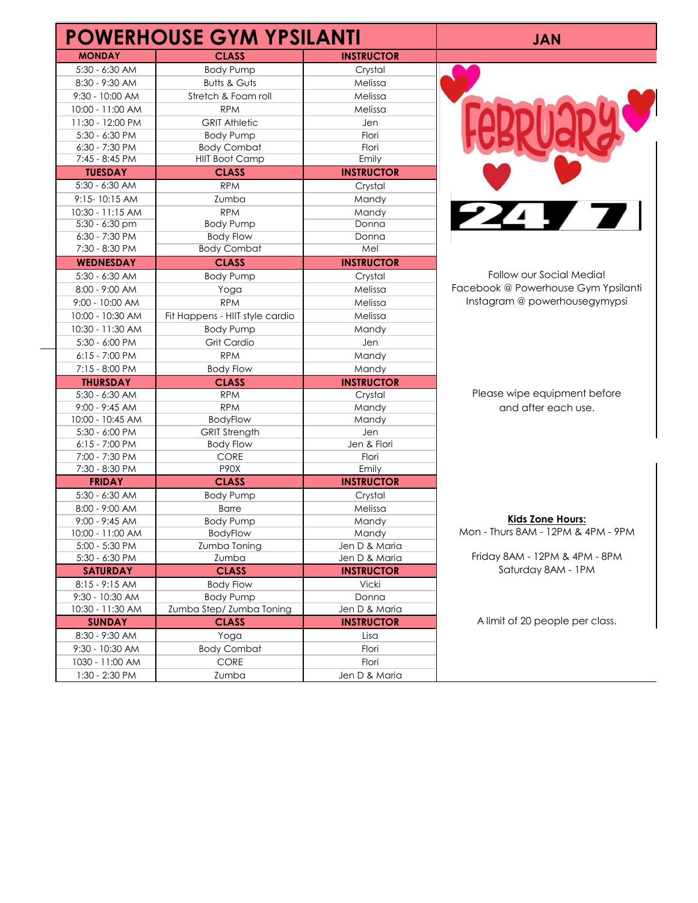|                  | <b>POWERHOUSE GYM YPSILANTI</b> |                   | <b>JAN</b>                          |
|------------------|---------------------------------|-------------------|-------------------------------------|
| <b>MONDAY</b>    | <b>CLASS</b>                    | <b>INSTRUCTOR</b> |                                     |
| $5:30 - 6:30$ AM | <b>Body Pump</b>                | Crystal           |                                     |
| 8:30 - 9:30 AM   | <b>Butts &amp; Guts</b>         | Melissa           |                                     |
| 9:30 - 10:00 AM  | Stretch & Foam roll             | Melissa           |                                     |
| 10:00 - 11:00 AM | <b>RPM</b>                      | Melissa           |                                     |
| 11:30 - 12:00 PM | <b>GRIT Athletic</b>            | Jen               |                                     |
| 5:30 - 6:30 PM   | <b>Body Pump</b>                | Flori             |                                     |
| 6:30 - 7:30 PM   | <b>Body Combat</b>              | Flori             |                                     |
| 7:45 - 8:45 PM   | <b>HIIT Boot Camp</b>           | Emily             |                                     |
| <b>TUESDAY</b>   | <b>CLASS</b>                    | <b>INSTRUCTOR</b> |                                     |
| 5:30 - 6:30 AM   | <b>RPM</b>                      | Crystal           |                                     |
| 9:15-10:15 AM    | Zumba                           | Mandy             |                                     |
| 10:30 - 11:15 AM | <b>RPM</b>                      | Mandy             | <b>224 F</b>                        |
| 5:30 - 6:30 pm   | <b>Body Pump</b>                | Donna             |                                     |
| 6:30 - 7:30 PM   | <b>Body Flow</b>                | Donna             |                                     |
| 7:30 - 8:30 PM   | <b>Body Combat</b>              | Mel               |                                     |
| <b>WEDNESDAY</b> | <b>CLASS</b>                    | <b>INSTRUCTOR</b> |                                     |
| 5:30 - 6:30 AM   | <b>Body Pump</b>                | Crystal           | Follow our Social Media!            |
| 8:00 - 9:00 AM   | Yoga                            | Melissa           | Facebook @ Powerhouse Gym Ypsilanti |
| 9:00 - 10:00 AM  | <b>RPM</b>                      | Melissa           | Instagram @ powerhousegymypsi       |
| 10:00 - 10:30 AM | Fit Happens - HIIT style cardio | Melissa           |                                     |
| 10:30 - 11:30 AM | <b>Body Pump</b>                | Mandy             |                                     |
| 5:30 - 6:00 PM   | Grit Cardio                     | Jen               |                                     |
| $6:15 - 7:00$ PM | <b>RPM</b>                      | Mandy             |                                     |
| 7:15 - 8:00 PM   | <b>Body Flow</b>                | Mandy             |                                     |
| <b>THURSDAY</b>  | <b>CLASS</b>                    | <b>INSTRUCTOR</b> |                                     |
| $5:30 - 6:30$ AM | <b>RPM</b>                      | Crystal           | Please wipe equipment before        |
| $9:00 - 9:45$ AM | <b>RPM</b>                      | Mandy             | and after each use.                 |
| 10:00 - 10:45 AM | BodyFlow                        | Mandy             |                                     |
| 5:30 - 6:00 PM   | <b>GRIT Strength</b>            | Jen               |                                     |
| $6:15 - 7:00$ PM | <b>Body Flow</b>                | Jen & Flori       |                                     |
| 7:00 - 7:30 PM   | <b>CORE</b>                     | Flori             |                                     |
| 7:30 - 8:30 PM   | P90X                            | Emily             |                                     |
| <b>FRIDAY</b>    | <b>CLASS</b>                    | <b>INSTRUCTOR</b> |                                     |
| 5:30 - 6:30 AM   | <b>Body Pump</b>                | Crystal           |                                     |
| 8:00 - 9:00 AM   | <b>Barre</b>                    | Melissa           |                                     |
| $9:00 - 9:45$ AM | <b>Body Pump</b>                | Mandy             | <b>Kids Zone Hours:</b>             |
| 10:00 - 11:00 AM | BodyFlow                        | Mandy             | Mon - Thurs 8AM - 12PM & 4PM - 9PM  |
| 5:00 - 5:30 PM   | Zumba Toning                    | Jen D & Maria     | Friday 8AM - 12PM & 4PM - 8PM       |
| 5:30 - 6:30 PM   | Zumba                           | Jen D & Maria     |                                     |
| <b>SATURDAY</b>  | <b>CLASS</b>                    | <b>INSTRUCTOR</b> | Saturday 8AM - 1PM                  |
| $8:15 - 9:15$ AM | <b>Body Flow</b>                | Vicki             |                                     |
| 9:30 - 10:30 AM  | <b>Body Pump</b>                | Donna             |                                     |
| 10:30 - 11:30 AM | Zumba Step/ Zumba Toning        | Jen D & Maria     |                                     |
| <b>SUNDAY</b>    | <b>CLASS</b>                    | <b>INSTRUCTOR</b> | A limit of 20 people per class.     |
| 8:30 - 9:30 AM   | Yoga                            | Lisa              |                                     |
| 9:30 - 10:30 AM  | <b>Body Combat</b>              | Flori             |                                     |
| 1030 - 11:00 AM  | CORE                            | Flori             |                                     |
| 1:30 - 2:30 PM   | Zumba                           | Jen D & Maria     |                                     |